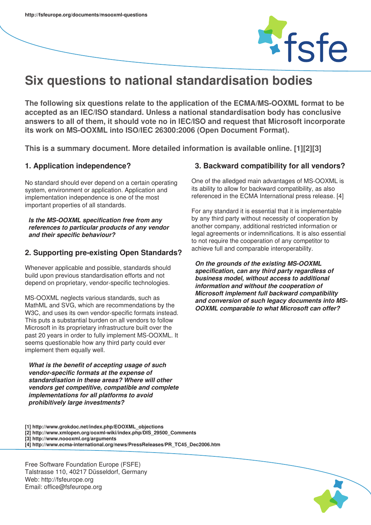

# **Six questions to national standardisation bodies**

**The following six questions relate to the application of the ECMA/MS-OOXML format to be accepted as an IEC/ISO standard. Unless a national standardisation body has conclusive answers to all of them, it should vote no in IEC/ISO and request that Microsoft incorporate its work on MS-OOXML into ISO/IEC 26300:2006 (Open Document Format).**

**This is a summary document. More detailed information is available online. [1][2][3]**

## **1. Application independence?**

No standard should ever depend on a certain operating system, environment or application. Application and implementation independence is one of the most important properties of all standards.

*Is the MS-OOXML specification free from any references to particular products of any vendor and their specific behaviour?*

## **2. Supporting pre-existing Open Standards?**

Whenever applicable and possible, standards should build upon previous standardisation efforts and not depend on proprietary, vendor-specific technologies.

MS-OOXML neglects various standards, such as MathML and SVG, which are recommendations by the W3C, and uses its own vendor-specific formats instead. This puts a substantial burden on all vendors to follow Microsoft in its proprietary infrastructure built over the past 20 years in order to fully implement MS-OOXML. It seems questionable how any third party could ever implement them equally well.

*What is the benefit of accepting usage of such vendor-specific formats at the expense of standardisation in these areas? Where will other vendors get competitive, compatible and complete implementations for all platforms to avoid prohibitively large investments?*

#### **3. Backward compatibility for all vendors?**

One of the alledged main advantages of MS-OOXML is its ability to allow for backward compatibility, as also referenced in the ECMA International press release. [4]

For any standard it is essential that it is implementable by any third party without necessity of cooperation by another company, additional restricted information or legal agreements or indemnifications. It is also essential to not require the cooperation of any competitor to achieve full and comparable interoperability.

*On the grounds of the existing MS-OOXML specification, can any third party regardless of business model, without access to additional information and without the cooperation of Microsoft implement full backward compatibility and conversion of such legacy documents into MS-OOXML comparable to what Microsoft can offer?*

- **[1] http://www.grokdoc.net/index.php/EOOXML\_objections**
- **[2] http://www.xmlopen.org/ooxml-wiki/index.php/DIS\_29500\_Comments**
- **[3] http://www.noooxml.org/arguments**
- **[4] http://www.ecma-international.org/news/PressReleases/PR\_TC45\_Dec2006.htm**

Free Software Foundation Europe (FSFE) Talstrasse 110, 40217 Düsseldorf, Germany Web: http://fsfeurope.org Email: office@fsfeurope.org